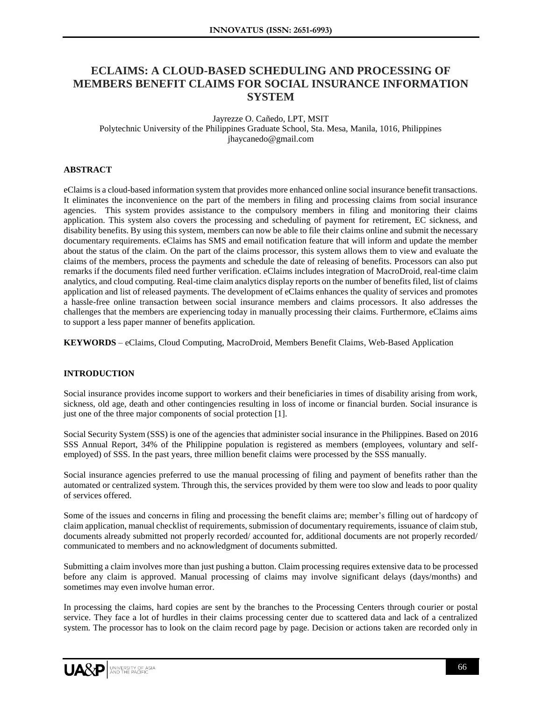# **ECLAIMS: A CLOUD-BASED SCHEDULING AND PROCESSING OF MEMBERS BENEFIT CLAIMS FOR SOCIAL INSURANCE INFORMATION SYSTEM**

#### Jayrezze O. Cañedo, LPT, MSIT Polytechnic University of the Philippines Graduate School, Sta. Mesa, Manila, 1016, Philippines jhaycanedo@gmail.com

# **ABSTRACT**

eClaims is a cloud-based information system that provides more enhanced online social insurance benefit transactions. It eliminates the inconvenience on the part of the members in filing and processing claims from social insurance agencies. This system provides assistance to the compulsory members in filing and monitoring their claims application. This system also covers the processing and scheduling of payment for retirement, EC sickness, and disability benefits. By using this system, members can now be able to file their claims online and submit the necessary documentary requirements. eClaims has SMS and email notification feature that will inform and update the member about the status of the claim. On the part of the claims processor, this system allows them to view and evaluate the claims of the members, process the payments and schedule the date of releasing of benefits. Processors can also put remarks if the documents filed need further verification. eClaims includes integration of MacroDroid, real-time claim analytics, and cloud computing. Real-time claim analytics display reports on the number of benefits filed, list of claims application and list of released payments. The development of eClaims enhances the quality of services and promotes a hassle-free online transaction between social insurance members and claims processors. It also addresses the challenges that the members are experiencing today in manually processing their claims. Furthermore, eClaims aims to support a less paper manner of benefits application.

**KEYWORDS** – eClaims, Cloud Computing, MacroDroid, Members Benefit Claims, Web-Based Application

### **INTRODUCTION**

Social insurance provides income support to workers and their beneficiaries in times of disability arising from work, sickness, old age, death and other contingencies resulting in loss of income or financial burden. Social insurance is just one of the three major components of social protection [1].

Social Security System (SSS) is one of the agencies that administer social insurance in the Philippines. Based on 2016 SSS Annual Report, 34% of the Philippine population is registered as members (employees, voluntary and selfemployed) of SSS. In the past years, three million benefit claims were processed by the SSS manually.

Social insurance agencies preferred to use the manual processing of filing and payment of benefits rather than the automated or centralized system. Through this, the services provided by them were too slow and leads to poor quality of services offered.

Some of the issues and concerns in filing and processing the benefit claims are; member's filling out of hardcopy of claim application, manual checklist of requirements, submission of documentary requirements, issuance of claim stub, documents already submitted not properly recorded/ accounted for, additional documents are not properly recorded/ communicated to members and no acknowledgment of documents submitted.

Submitting a claim involves more than just pushing a button. Claim processing requires extensive data to be processed before any claim is approved. Manual processing of claims may involve significant delays (days/months) and sometimes may even involve human error.

In processing the claims, hard copies are sent by the branches to the Processing Centers through courier or postal service. They face a lot of hurdles in their claims processing center due to scattered data and lack of a centralized system. The processor has to look on the claim record page by page. Decision or actions taken are recorded only in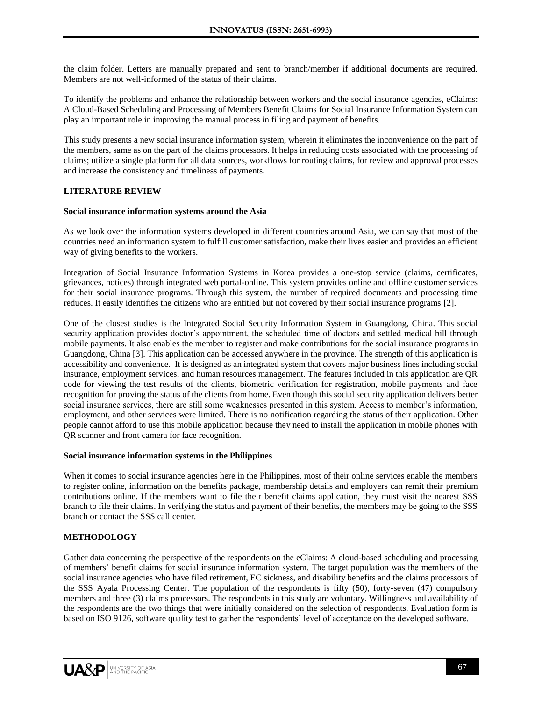the claim folder. Letters are manually prepared and sent to branch/member if additional documents are required. Members are not well-informed of the status of their claims.

To identify the problems and enhance the relationship between workers and the social insurance agencies, eClaims: A Cloud-Based Scheduling and Processing of Members Benefit Claims for Social Insurance Information System can play an important role in improving the manual process in filing and payment of benefits.

This study presents a new social insurance information system, wherein it eliminates the inconvenience on the part of the members, same as on the part of the claims processors. It helps in reducing costs associated with the processing of claims; utilize a single platform for all data sources, workflows for routing claims, for review and approval processes and increase the consistency and timeliness of payments.

# **LITERATURE REVIEW**

#### **Social insurance information systems around the Asia**

As we look over the information systems developed in different countries around Asia, we can say that most of the countries need an information system to fulfill customer satisfaction, make their lives easier and provides an efficient way of giving benefits to the workers.

Integration of Social Insurance Information Systems in Korea provides a one-stop service (claims, certificates, grievances, notices) through integrated web portal-online. This system provides online and offline customer services for their social insurance programs. Through this system, the number of required documents and processing time reduces. It easily identifies the citizens who are entitled but not covered by their social insurance programs [2].

One of the closest studies is the Integrated Social Security Information System in Guangdong, China. This social security application provides doctor's appointment, the scheduled time of doctors and settled medical bill through mobile payments. It also enables the member to register and make contributions for the social insurance programs in Guangdong, China [3]. This application can be accessed anywhere in the province. The strength of this application is accessibility and convenience. It is designed as an integrated system that covers major business lines including social insurance, employment services, and human resources management. The features included in this application are QR code for viewing the test results of the clients, biometric verification for registration, mobile payments and face recognition for proving the status of the clients from home. Even though this social security application delivers better social insurance services, there are still some weaknesses presented in this system. Access to member's information, employment, and other services were limited. There is no notification regarding the status of their application. Other people cannot afford to use this mobile application because they need to install the application in mobile phones with QR scanner and front camera for face recognition.

### **Social insurance information systems in the Philippines**

When it comes to social insurance agencies here in the Philippines, most of their online services enable the members to register online, information on the benefits package, membership details and employers can remit their premium contributions online. If the members want to file their benefit claims application, they must visit the nearest SSS branch to file their claims. In verifying the status and payment of their benefits, the members may be going to the SSS branch or contact the SSS call center.

### **METHODOLOGY**

Gather data concerning the perspective of the respondents on the eClaims: A cloud-based scheduling and processing of members' benefit claims for social insurance information system. The target population was the members of the social insurance agencies who have filed retirement, EC sickness, and disability benefits and the claims processors of the SSS Ayala Processing Center. The population of the respondents is fifty (50), forty-seven (47) compulsory members and three (3) claims processors. The respondents in this study are voluntary. Willingness and availability of the respondents are the two things that were initially considered on the selection of respondents. Evaluation form is based on ISO 9126, software quality test to gather the respondents' level of acceptance on the developed software.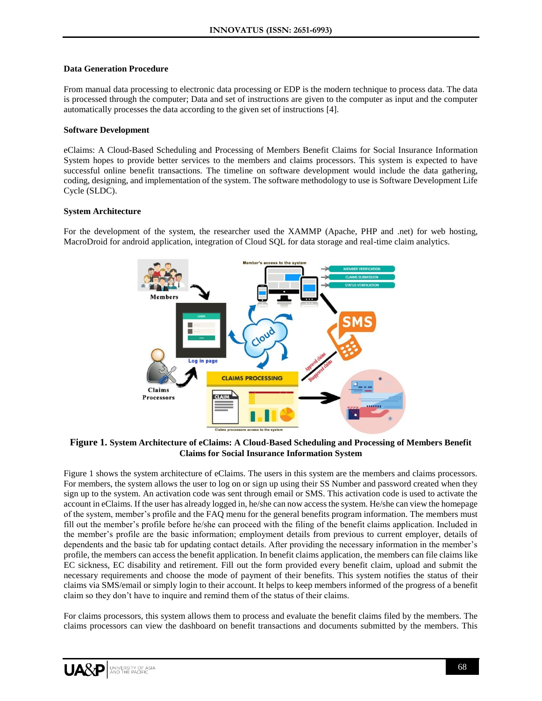#### **Data Generation Procedure**

From manual data processing to electronic data processing or EDP is the modern technique to process data. The data is processed through the computer; Data and set of instructions are given to the computer as input and the computer automatically processes the data according to the given set of instructions [4].

### **Software Development**

eClaims: A Cloud-Based Scheduling and Processing of Members Benefit Claims for Social Insurance Information System hopes to provide better services to the members and claims processors. This system is expected to have successful online benefit transactions. The timeline on software development would include the data gathering, coding, designing, and implementation of the system. The software methodology to use is Software Development Life Cycle (SLDC).

### **System Architecture**

For the development of the system, the researcher used the XAMMP (Apache, PHP and .net) for web hosting, MacroDroid for android application, integration of Cloud SQL for data storage and real-time claim analytics.



**Figure 1. System Architecture of eClaims: A Cloud-Based Scheduling and Processing of Members Benefit Claims for Social Insurance Information System**

Figure 1 shows the system architecture of eClaims. The users in this system are the members and claims processors. For members, the system allows the user to log on or sign up using their SS Number and password created when they sign up to the system. An activation code was sent through email or SMS. This activation code is used to activate the account in eClaims. If the user has already logged in, he/she can now access the system. He/she can view the homepage of the system, member's profile and the FAQ menu for the general benefits program information. The members must fill out the member's profile before he/she can proceed with the filing of the benefit claims application. Included in the member's profile are the basic information; employment details from previous to current employer, details of dependents and the basic tab for updating contact details. After providing the necessary information in the member's profile, the members can access the benefit application. In benefit claims application, the members can file claims like EC sickness, EC disability and retirement. Fill out the form provided every benefit claim, upload and submit the necessary requirements and choose the mode of payment of their benefits. This system notifies the status of their claims via SMS/email or simply login to their account. It helps to keep members informed of the progress of a benefit claim so they don't have to inquire and remind them of the status of their claims.

For claims processors, this system allows them to process and evaluate the benefit claims filed by the members. The claims processors can view the dashboard on benefit transactions and documents submitted by the members. This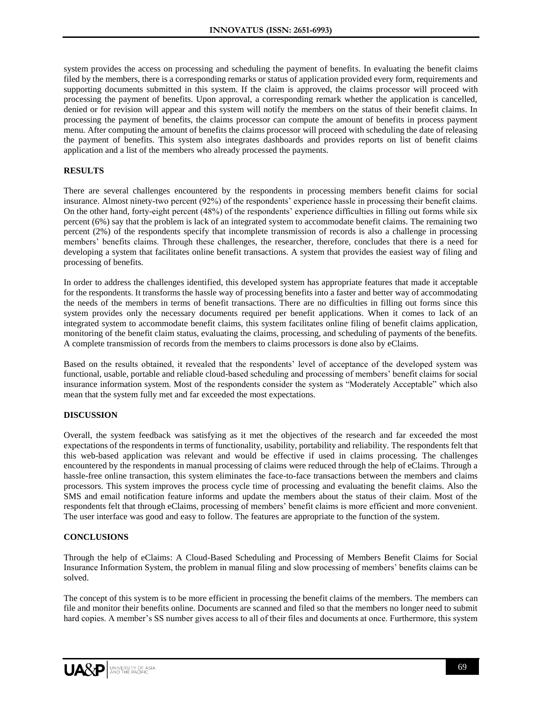system provides the access on processing and scheduling the payment of benefits. In evaluating the benefit claims filed by the members, there is a corresponding remarks or status of application provided every form, requirements and supporting documents submitted in this system. If the claim is approved, the claims processor will proceed with processing the payment of benefits. Upon approval, a corresponding remark whether the application is cancelled, denied or for revision will appear and this system will notify the members on the status of their benefit claims. In processing the payment of benefits, the claims processor can compute the amount of benefits in process payment menu. After computing the amount of benefits the claims processor will proceed with scheduling the date of releasing the payment of benefits. This system also integrates dashboards and provides reports on list of benefit claims application and a list of the members who already processed the payments.

# **RESULTS**

There are several challenges encountered by the respondents in processing members benefit claims for social insurance. Almost ninety-two percent (92%) of the respondents' experience hassle in processing their benefit claims. On the other hand, forty-eight percent (48%) of the respondents' experience difficulties in filling out forms while six percent (6%) say that the problem is lack of an integrated system to accommodate benefit claims. The remaining two percent (2%) of the respondents specify that incomplete transmission of records is also a challenge in processing members' benefits claims. Through these challenges, the researcher, therefore, concludes that there is a need for developing a system that facilitates online benefit transactions. A system that provides the easiest way of filing and processing of benefits.

In order to address the challenges identified, this developed system has appropriate features that made it acceptable for the respondents. It transforms the hassle way of processing benefits into a faster and better way of accommodating the needs of the members in terms of benefit transactions. There are no difficulties in filling out forms since this system provides only the necessary documents required per benefit applications. When it comes to lack of an integrated system to accommodate benefit claims, this system facilitates online filing of benefit claims application, monitoring of the benefit claim status, evaluating the claims, processing, and scheduling of payments of the benefits. A complete transmission of records from the members to claims processors is done also by eClaims.

Based on the results obtained, it revealed that the respondents' level of acceptance of the developed system was functional, usable, portable and reliable cloud-based scheduling and processing of members' benefit claims for social insurance information system. Most of the respondents consider the system as "Moderately Acceptable" which also mean that the system fully met and far exceeded the most expectations.

### **DISCUSSION**

Overall, the system feedback was satisfying as it met the objectives of the research and far exceeded the most expectations of the respondents in terms of functionality, usability, portability and reliability. The respondents felt that this web-based application was relevant and would be effective if used in claims processing. The challenges encountered by the respondents in manual processing of claims were reduced through the help of eClaims. Through a hassle-free online transaction, this system eliminates the face-to-face transactions between the members and claims processors. This system improves the process cycle time of processing and evaluating the benefit claims. Also the SMS and email notification feature informs and update the members about the status of their claim. Most of the respondents felt that through eClaims, processing of members' benefit claims is more efficient and more convenient. The user interface was good and easy to follow. The features are appropriate to the function of the system.

### **CONCLUSIONS**

Through the help of eClaims: A Cloud-Based Scheduling and Processing of Members Benefit Claims for Social Insurance Information System, the problem in manual filing and slow processing of members' benefits claims can be solved.

The concept of this system is to be more efficient in processing the benefit claims of the members. The members can file and monitor their benefits online. Documents are scanned and filed so that the members no longer need to submit hard copies. A member's SS number gives access to all of their files and documents at once. Furthermore, this system